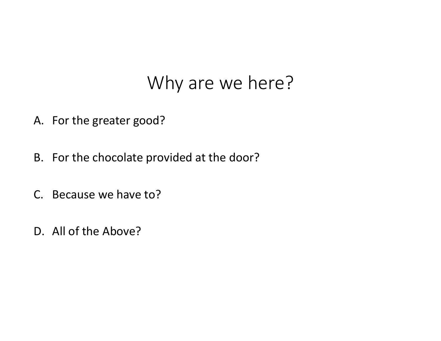#### Why are we here?

- A. For the greater good?
- B. For the chocolate provided at the door?
- C. Because we have to?
- D. All of the Above?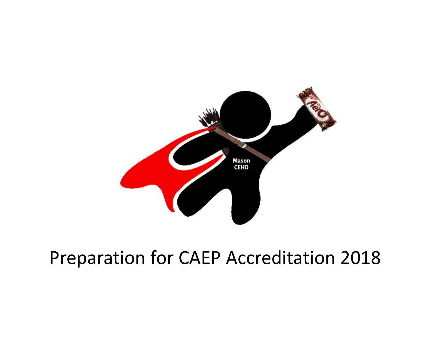

## Preparation for CAEP Accreditation 2018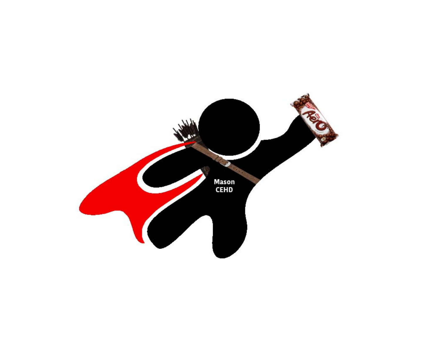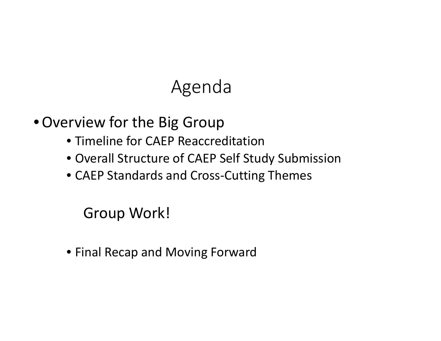## Agenda

•Overview for the Big Group

- Timeline for CAEP Reaccreditation
- Overall Structure of CAEP Self Study Submission
- CAEP Standards and Cross‐Cutting Themes

Group Work!

• Final Recap and Moving Forward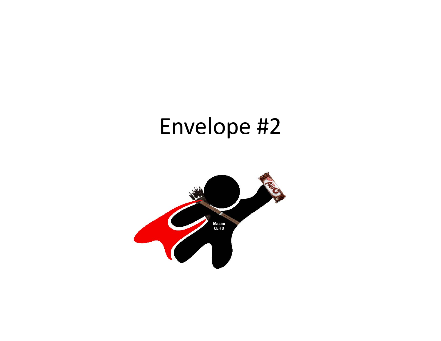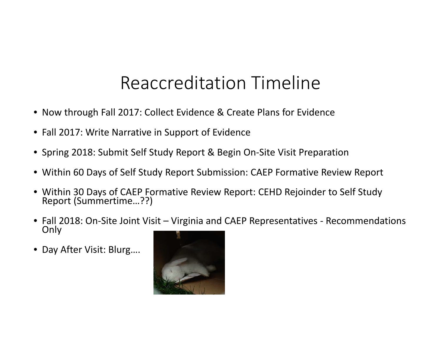### Reaccreditation Timeline

- Now through Fall 2017: Collect Evidence & Create Plans for Evidence
- Fall 2017: Write Narrative in Support of Evidence
- Spring 2018: Submit Self Study Report & Begin On‐Site Visit Preparation
- Within 60 Days of Self Study Report Submission: CAEP Formative Review Report
- Within 30 Days of CAEP Formative Review Report: CEHD Rejoinder to Self Study Report (Summertime…??)
- Fall 2018: On-Site Joint Visit Virginia and CAEP Representatives Recommendations<br>□ Only
- Day After Visit: Blurg….

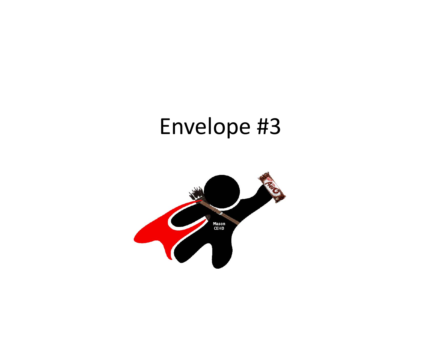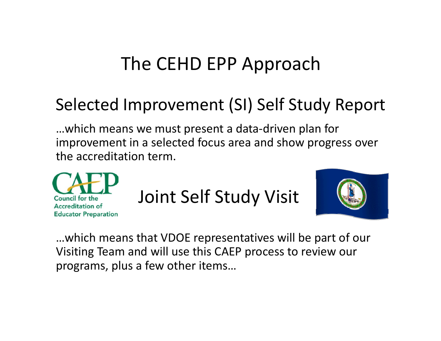## The CEHD EPP Approach

#### Selected Improvement (SI) Self Study Report

…which means we must present <sup>a</sup> data‐driven plan for improvement in <sup>a</sup> selected focus area and show progress over the accreditation term.



Joint Self Study Visit



…which means that VDOE representatives will be part of our Visiting Team and will use this CAEP process to review our programs, plus <sup>a</sup> few other items…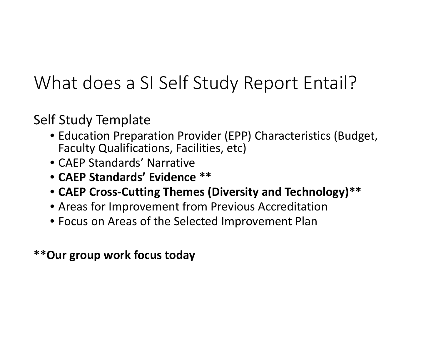## What does a SI Self Study Report Entail?

#### Self Study Template

- Education Preparation Provider (EPP) Characteristics (Budget, Faculty Qualifications, Facilities, etc)
- CAEP Standards' Narrative
- **CAEP Standards' Evidence \*\***
- **CAEP Cross‐Cutting Themes (Diversity and Technology)\*\***
- Areas for Improvement from Previous Accreditation
- Focus on Areas of the Selected Improvement Plan

#### **\*\*Our group work focus today**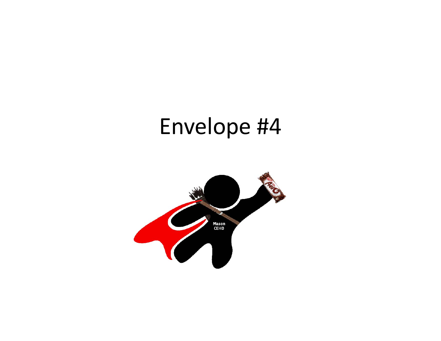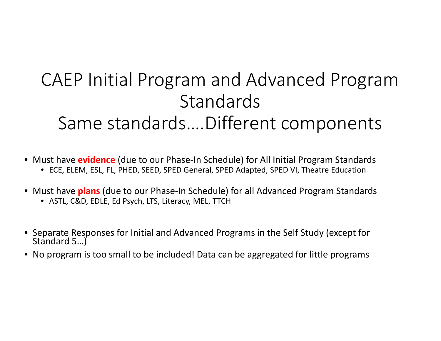## CAEP Initial Program and Advanced Program **Standards** Same standards….Different components

- Must have **evidence** (due to our Phase‐In Schedule) for All Initial Program Standards
	- ECE, ELEM, ESL, FL, PHED, SEED, SPED General, SPED Adapted, SPED VI, Theatre Education
- Must have **plans** (due to our Phase‐In Schedule) for all Advanced Program Standards
	- ASTL, C&D, EDLE, Ed Psych, LTS, Literacy, MEL, TTCH
- Separate Responses for Initial and Advanced Programs in the Self Study (except for<br>Standard 5...) Standard 5...)
- No program is too small to be included! Data can be aggregated for little programs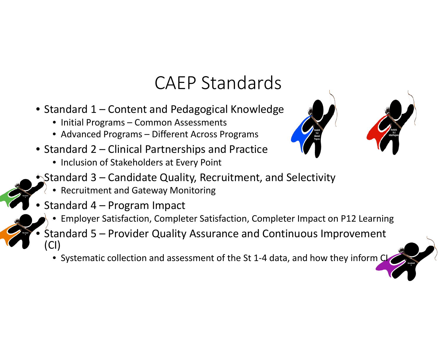#### CAEP Standards

- Standard 1 Content and Pedagogical Knowledge
	- Initial Programs Common Assessments
	- Advanced Programs Different Across Programs
- Standard 2 Clinical Partnerships and Practice
	- Inclusion of Stakeholders at Every Point



- Recruitment and Gateway Monitoring
- • $\bullet$  Standard 4 – Program Impact

•

- Employer Satisfaction, Completer Satisfaction, Completer Impact on P12 Learning
- Standard 5 Provider Quality Assurance and Continuous Improvement (CI)
	- Systematic collection and assessment of the St 1‐4 data, and how they inform CI

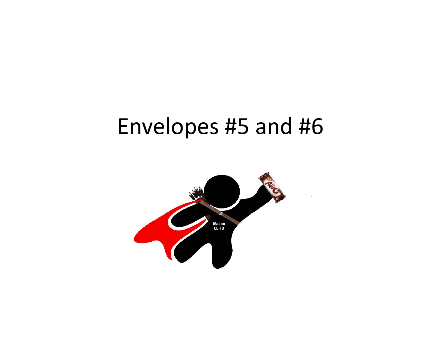# Envelopes #5 and #6

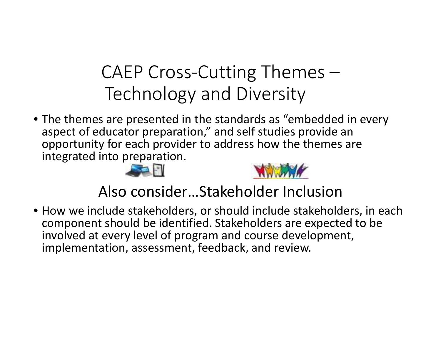## CAEP Cross‐Cutting Themes – Technology and Diversity

• The themes are presented in the standards as "embedded in every aspect of educator preparation," and self studies provide an opportunity for each provider to address how the themes are integrated into preparation.





Also consider…Stakeholder Inclusion

• How we include stakeholders, or should include stakeholders, in each component should be identified. Stakeholders are expected to be involved at every level of program and course development, implementation, assessment, feedback, and review.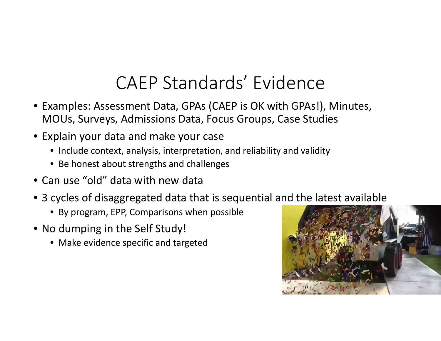#### CAEP Standards' Evidence

- Examples: Assessment Data, GPAs (CAEP is OK with GPAs!), Minutes, MOUs, Surveys, Admissions Data, Focus Groups, Case Studies
- Explain your data and make your case
	- Include context, analysis, interpretation, and reliability and validity
	- Be honest about strengths and challenges
- Can use "old" data with new data
- 3 cycles of disaggregated data that is sequential and the latest available
	- By program, EPP, Comparisons when possible
- No dumping in the Self Study!
	- Make evidence specific and targeted

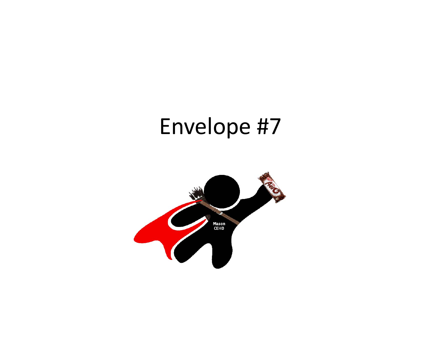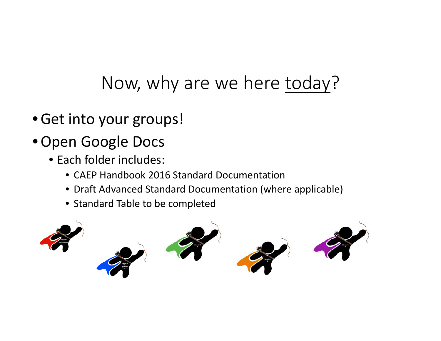## Now, why are we here today?

- •Get into your groups!
- •Open Google Docs
	- Each folder includes:
		- CAEP Handbook 2016 Standard Documentation
		- Draft Advanced Standard Documentation (where applicable)
		- Standard Table to be completed

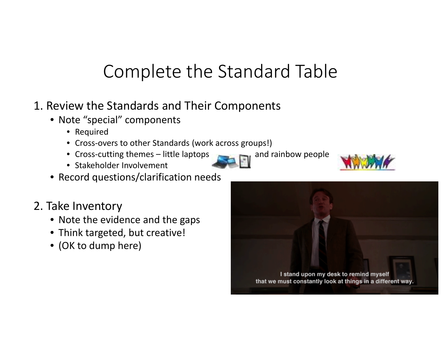## Complete the Standard Table

- 1. Review the Standards and Their Components
	- Note "special" components
		- Required
		- Cross‐overs to other Standards (work across groups!)
		- Cross-cutting themes little laptops and rainbow people
		- Stakeholder Involvement
	- Record questions/clarification needs
- 2. Take Inventory
	- Note the evidence and the gaps
	- Think targeted, but creative!
	- (OK to dump here)





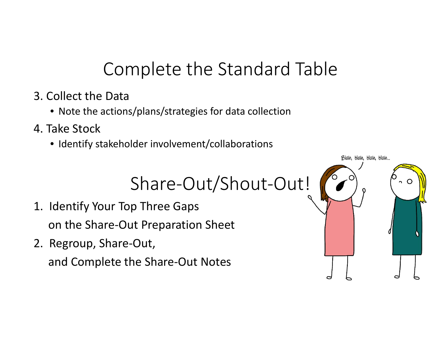# Complete the Standard Table

- 3. Collect the Data
	- Note the actions/plans/strategies for data collection
- 4. Take Stock
	- Identify stakeholder involvement/collaborations

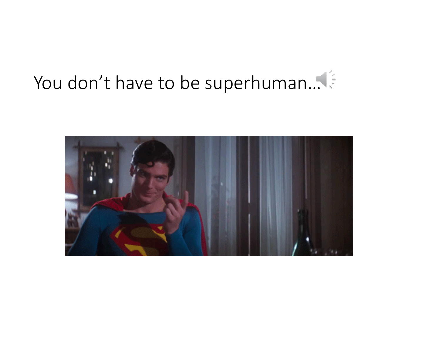# You don't have to be superhuman…

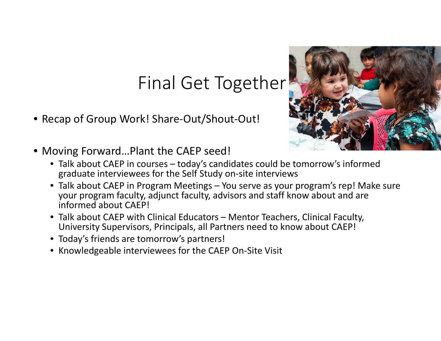#### Final Get Together –

• Recap of Group Work! Share‐Out/Shout‐Out!



- Moving Forward…Plant the CAEP seed!
	- Talk about CAEP in courses today's candidates could be tomorrow's informed graduate interviewees for the Self Study on‐site interviews
	- Talk about CAEP in Program Meetings You serve as your program's rep! Make sure your program faculty, adjunct faculty, advisors and staff know about and are informed about CAEP!
	- Talk about CAEP with Clinical Educators Mentor Teachers, Clinical Faculty, University Supervisors, Principals, all Partners need to know about CAEP!
	- Today's friends are tomorrow's partners!
	- Knowledgeable interviewees for the CAEP On‐Site Visit